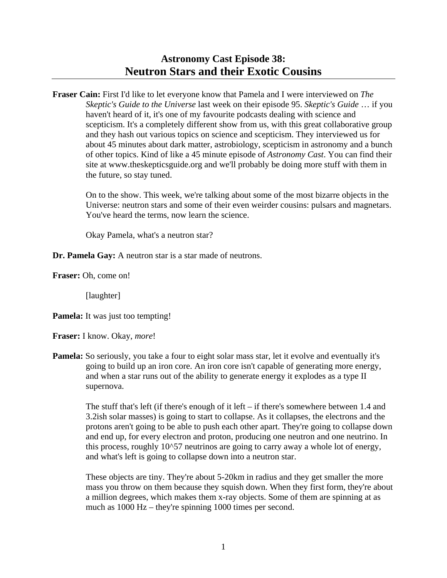# **Astronomy Cast Episode 38: Neutron Stars and their Exotic Cousins**

**Fraser Cain:** First I'd like to let everyone know that Pamela and I were interviewed on *The Skeptic's Guide to the Universe* last week on their episode 95. *Skeptic's Guide* … if you haven't heard of it, it's one of my favourite podcasts dealing with science and scepticism. It's a completely different show from us, with this great collaborative group and they hash out various topics on science and scepticism. They interviewed us for about 45 minutes about dark matter, astrobiology, scepticism in astronomy and a bunch of other topics. Kind of like a 45 minute episode of *Astronomy Cast*. You can find their site at www.theskepticsguide.org and we'll probably be doing more stuff with them in the future, so stay tuned.

 On to the show. This week, we're talking about some of the most bizarre objects in the Universe: neutron stars and some of their even weirder cousins: pulsars and magnetars. You've heard the terms, now learn the science.

Okay Pamela, what's a neutron star?

**Dr. Pamela Gay:** A neutron star is a star made of neutrons.

**Fraser:** Oh, come on!

[laughter]

**Pamela:** It was just too tempting!

**Fraser:** I know. Okay, *more*!

**Pamela:** So seriously, you take a four to eight solar mass star, let it evolve and eventually it's going to build up an iron core. An iron core isn't capable of generating more energy, and when a star runs out of the ability to generate energy it explodes as a type II supernova.

> The stuff that's left (if there's enough of it left – if there's somewhere between 1.4 and 3.2ish solar masses) is going to start to collapse. As it collapses, the electrons and the protons aren't going to be able to push each other apart. They're going to collapse down and end up, for every electron and proton, producing one neutron and one neutrino. In this process, roughly 10^57 neutrinos are going to carry away a whole lot of energy, and what's left is going to collapse down into a neutron star.

> These objects are tiny. They're about 5-20km in radius and they get smaller the more mass you throw on them because they squish down. When they first form, they're about a million degrees, which makes them x-ray objects. Some of them are spinning at as much as 1000 Hz – they're spinning 1000 times per second.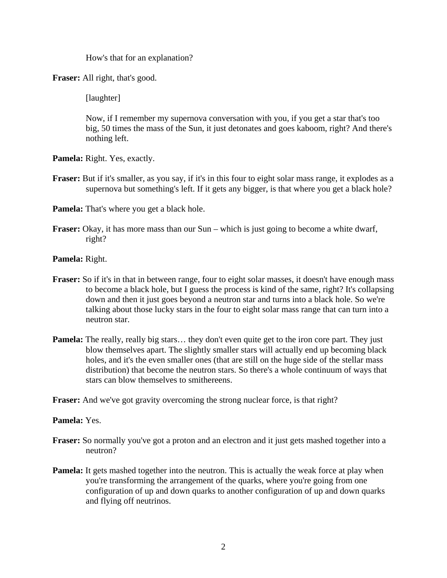How's that for an explanation?

**Fraser:** All right, that's good.

[laughter]

 Now, if I remember my supernova conversation with you, if you get a star that's too big, 50 times the mass of the Sun, it just detonates and goes kaboom, right? And there's nothing left.

**Pamela:** Right. Yes, exactly.

**Fraser:** But if it's smaller, as you say, if it's in this four to eight solar mass range, it explodes as a supernova but something's left. If it gets any bigger, is that where you get a black hole?

**Pamela:** That's where you get a black hole.

**Fraser:** Okay, it has more mass than our Sun – which is just going to become a white dwarf, right?

**Pamela:** Right.

- **Fraser:** So if it's in that in between range, four to eight solar masses, it doesn't have enough mass to become a black hole, but I guess the process is kind of the same, right? It's collapsing down and then it just goes beyond a neutron star and turns into a black hole. So we're talking about those lucky stars in the four to eight solar mass range that can turn into a neutron star.
- **Pamela:** The really, really big stars... they don't even quite get to the iron core part. They just blow themselves apart. The slightly smaller stars will actually end up becoming black holes, and it's the even smaller ones (that are still on the huge side of the stellar mass distribution) that become the neutron stars. So there's a whole continuum of ways that stars can blow themselves to smithereens.

**Fraser:** And we've got gravity overcoming the strong nuclear force, is that right?

# **Pamela:** Yes.

- **Fraser:** So normally you've got a proton and an electron and it just gets mashed together into a neutron?
- **Pamela:** It gets mashed together into the neutron. This is actually the weak force at play when you're transforming the arrangement of the quarks, where you're going from one configuration of up and down quarks to another configuration of up and down quarks and flying off neutrinos.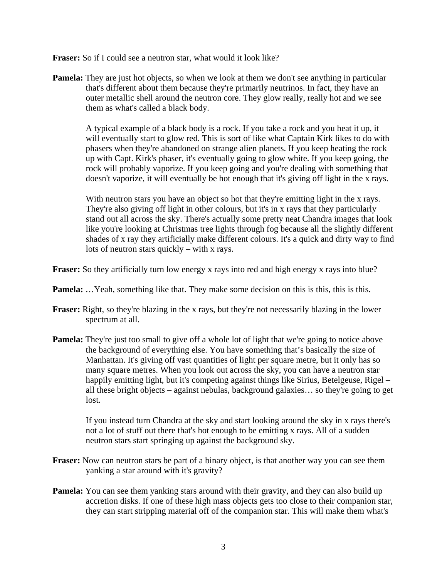**Fraser:** So if I could see a neutron star, what would it look like?

**Pamela:** They are just hot objects, so when we look at them we don't see anything in particular that's different about them because they're primarily neutrinos. In fact, they have an outer metallic shell around the neutron core. They glow really, really hot and we see them as what's called a black body.

 A typical example of a black body is a rock. If you take a rock and you heat it up, it will eventually start to glow red. This is sort of like what Captain Kirk likes to do with phasers when they're abandoned on strange alien planets. If you keep heating the rock up with Capt. Kirk's phaser, it's eventually going to glow white. If you keep going, the rock will probably vaporize. If you keep going and you're dealing with something that doesn't vaporize, it will eventually be hot enough that it's giving off light in the x rays.

 With neutron stars you have an object so hot that they're emitting light in the x rays. They're also giving off light in other colours, but it's in x rays that they particularly stand out all across the sky. There's actually some pretty neat Chandra images that look like you're looking at Christmas tree lights through fog because all the slightly different shades of x ray they artificially make different colours. It's a quick and dirty way to find lots of neutron stars quickly – with x rays.

**Fraser:** So they artificially turn low energy x rays into red and high energy x rays into blue?

- **Pamela:** ...Yeah, something like that. They make some decision on this is this, this is this.
- **Fraser:** Right, so they're blazing in the x rays, but they're not necessarily blazing in the lower spectrum at all.
- **Pamela:** They're just too small to give off a whole lot of light that we're going to notice above the background of everything else. You have something that's basically the size of Manhattan. It's giving off vast quantities of light per square metre, but it only has so many square metres. When you look out across the sky, you can have a neutron star happily emitting light, but it's competing against things like Sirius, Betelgeuse, Rigel – all these bright objects – against nebulas, background galaxies… so they're going to get lost.

 If you instead turn Chandra at the sky and start looking around the sky in x rays there's not a lot of stuff out there that's hot enough to be emitting x rays. All of a sudden neutron stars start springing up against the background sky.

- **Fraser:** Now can neutron stars be part of a binary object, is that another way you can see them yanking a star around with it's gravity?
- **Pamela:** You can see them yanking stars around with their gravity, and they can also build up accretion disks. If one of these high mass objects gets too close to their companion star, they can start stripping material off of the companion star. This will make them what's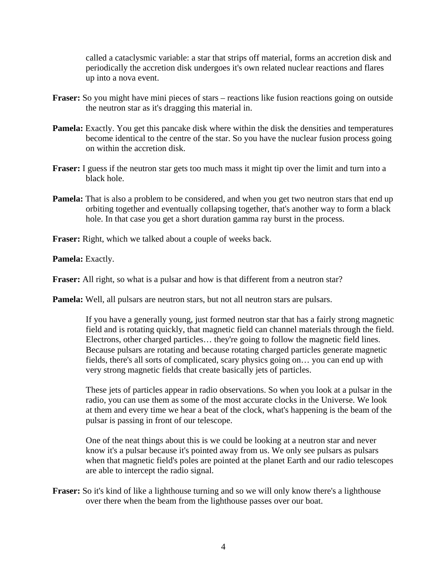called a cataclysmic variable: a star that strips off material, forms an accretion disk and periodically the accretion disk undergoes it's own related nuclear reactions and flares up into a nova event.

- **Fraser:** So you might have mini pieces of stars reactions like fusion reactions going on outside the neutron star as it's dragging this material in.
- **Pamela:** Exactly. You get this pancake disk where within the disk the densities and temperatures become identical to the centre of the star. So you have the nuclear fusion process going on within the accretion disk.
- **Fraser:** I guess if the neutron star gets too much mass it might tip over the limit and turn into a black hole.
- **Pamela:** That is also a problem to be considered, and when you get two neutron stars that end up orbiting together and eventually collapsing together, that's another way to form a black hole. In that case you get a short duration gamma ray burst in the process.
- **Fraser:** Right, which we talked about a couple of weeks back.

**Pamela:** Exactly.

**Fraser:** All right, so what is a pulsar and how is that different from a neutron star?

**Pamela:** Well, all pulsars are neutron stars, but not all neutron stars are pulsars.

 If you have a generally young, just formed neutron star that has a fairly strong magnetic field and is rotating quickly, that magnetic field can channel materials through the field. Electrons, other charged particles… they're going to follow the magnetic field lines. Because pulsars are rotating and because rotating charged particles generate magnetic fields, there's all sorts of complicated, scary physics going on… you can end up with very strong magnetic fields that create basically jets of particles.

 These jets of particles appear in radio observations. So when you look at a pulsar in the radio, you can use them as some of the most accurate clocks in the Universe. We look at them and every time we hear a beat of the clock, what's happening is the beam of the pulsar is passing in front of our telescope.

 One of the neat things about this is we could be looking at a neutron star and never know it's a pulsar because it's pointed away from us. We only see pulsars as pulsars when that magnetic field's poles are pointed at the planet Earth and our radio telescopes are able to intercept the radio signal.

**Fraser:** So it's kind of like a lighthouse turning and so we will only know there's a lighthouse over there when the beam from the lighthouse passes over our boat.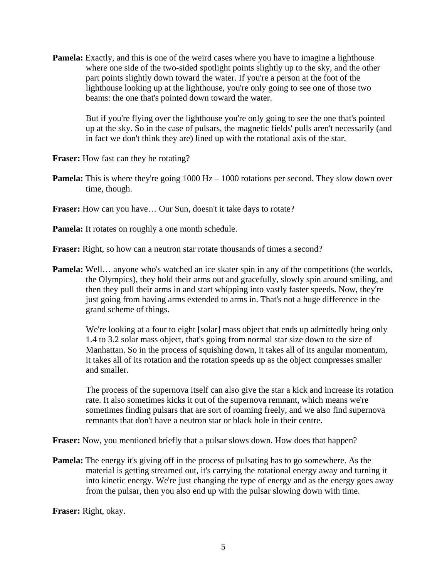**Pamela:** Exactly, and this is one of the weird cases where you have to imagine a lighthouse where one side of the two-sided spotlight points slightly up to the sky, and the other part points slightly down toward the water. If you're a person at the foot of the lighthouse looking up at the lighthouse, you're only going to see one of those two beams: the one that's pointed down toward the water.

> But if you're flying over the lighthouse you're only going to see the one that's pointed up at the sky. So in the case of pulsars, the magnetic fields' pulls aren't necessarily (and in fact we don't think they are) lined up with the rotational axis of the star.

**Fraser:** How fast can they be rotating?

**Pamela:** This is where they're going 1000 Hz – 1000 rotations per second. They slow down over time, though.

**Fraser:** How can you have… Our Sun, doesn't it take days to rotate?

**Pamela:** It rotates on roughly a one month schedule.

**Fraser:** Right, so how can a neutron star rotate thousands of times a second?

**Pamela:** Well... anyone who's watched an ice skater spin in any of the competitions (the worlds, the Olympics), they hold their arms out and gracefully, slowly spin around smiling, and then they pull their arms in and start whipping into vastly faster speeds. Now, they're just going from having arms extended to arms in. That's not a huge difference in the grand scheme of things.

We're looking at a four to eight [solar] mass object that ends up admittedly being only 1.4 to 3.2 solar mass object, that's going from normal star size down to the size of Manhattan. So in the process of squishing down, it takes all of its angular momentum, it takes all of its rotation and the rotation speeds up as the object compresses smaller and smaller.

 The process of the supernova itself can also give the star a kick and increase its rotation rate. It also sometimes kicks it out of the supernova remnant, which means we're sometimes finding pulsars that are sort of roaming freely, and we also find supernova remnants that don't have a neutron star or black hole in their centre.

**Fraser:** Now, you mentioned briefly that a pulsar slows down. How does that happen?

**Pamela:** The energy it's giving off in the process of pulsating has to go somewhere. As the material is getting streamed out, it's carrying the rotational energy away and turning it into kinetic energy. We're just changing the type of energy and as the energy goes away from the pulsar, then you also end up with the pulsar slowing down with time.

**Fraser:** Right, okay.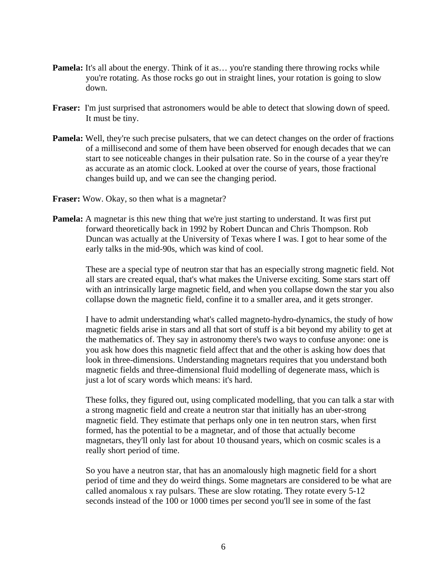- **Pamela:** It's all about the energy. Think of it as... you're standing there throwing rocks while you're rotating. As those rocks go out in straight lines, your rotation is going to slow down.
- **Fraser:** I'm just surprised that astronomers would be able to detect that slowing down of speed. It must be tiny.
- **Pamela:** Well, they're such precise pulsaters, that we can detect changes on the order of fractions of a millisecond and some of them have been observed for enough decades that we can start to see noticeable changes in their pulsation rate. So in the course of a year they're as accurate as an atomic clock. Looked at over the course of years, those fractional changes build up, and we can see the changing period.
- **Fraser:** Wow. Okay, so then what is a magnetar?
- **Pamela:** A magnetar is this new thing that we're just starting to understand. It was first put forward theoretically back in 1992 by Robert Duncan and Chris Thompson. Rob Duncan was actually at the University of Texas where I was. I got to hear some of the early talks in the mid-90s, which was kind of cool.

 These are a special type of neutron star that has an especially strong magnetic field. Not all stars are created equal, that's what makes the Universe exciting. Some stars start off with an intrinsically large magnetic field, and when you collapse down the star you also collapse down the magnetic field, confine it to a smaller area, and it gets stronger.

 I have to admit understanding what's called magneto-hydro-dynamics, the study of how magnetic fields arise in stars and all that sort of stuff is a bit beyond my ability to get at the mathematics of. They say in astronomy there's two ways to confuse anyone: one is you ask how does this magnetic field affect that and the other is asking how does that look in three-dimensions. Understanding magnetars requires that you understand both magnetic fields and three-dimensional fluid modelling of degenerate mass, which is just a lot of scary words which means: it's hard.

 These folks, they figured out, using complicated modelling, that you can talk a star with a strong magnetic field and create a neutron star that initially has an uber-strong magnetic field. They estimate that perhaps only one in ten neutron stars, when first formed, has the potential to be a magnetar, and of those that actually become magnetars, they'll only last for about 10 thousand years, which on cosmic scales is a really short period of time.

 So you have a neutron star, that has an anomalously high magnetic field for a short period of time and they do weird things. Some magnetars are considered to be what are called anomalous x ray pulsars. These are slow rotating. They rotate every 5-12 seconds instead of the 100 or 1000 times per second you'll see in some of the fast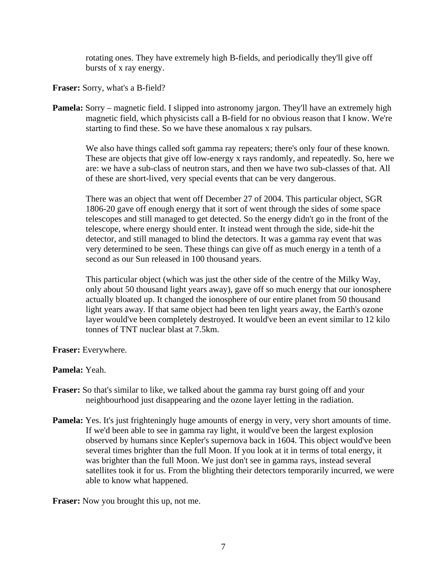rotating ones. They have extremely high B-fields, and periodically they'll give off bursts of x ray energy.

**Fraser:** Sorry, what's a B-field?

**Pamela:** Sorry – magnetic field. I slipped into astronomy jargon. They'll have an extremely high magnetic field, which physicists call a B-field for no obvious reason that I know. We're starting to find these. So we have these anomalous x ray pulsars.

 We also have things called soft gamma ray repeaters; there's only four of these known. These are objects that give off low-energy x rays randomly, and repeatedly. So, here we are: we have a sub-class of neutron stars, and then we have two sub-classes of that. All of these are short-lived, very special events that can be very dangerous.

 There was an object that went off December 27 of 2004. This particular object, SGR 1806-20 gave off enough energy that it sort of went through the sides of some space telescopes and still managed to get detected. So the energy didn't go in the front of the telescope, where energy should enter. It instead went through the side, side-hit the detector, and still managed to blind the detectors. It was a gamma ray event that was very determined to be seen. These things can give off as much energy in a tenth of a second as our Sun released in 100 thousand years.

 This particular object (which was just the other side of the centre of the Milky Way, only about 50 thousand light years away), gave off so much energy that our ionosphere actually bloated up. It changed the ionosphere of our entire planet from 50 thousand light years away. If that same object had been ten light years away, the Earth's ozone layer would've been completely destroyed. It would've been an event similar to 12 kilo tonnes of TNT nuclear blast at 7.5km.

**Fraser:** Everywhere.

# **Pamela:** Yeah.

- **Fraser:** So that's similar to like, we talked about the gamma ray burst going off and your neighbourhood just disappearing and the ozone layer letting in the radiation.
- **Pamela:** Yes. It's just frighteningly huge amounts of energy in very, very short amounts of time. If we'd been able to see in gamma ray light, it would've been the largest explosion observed by humans since Kepler's supernova back in 1604. This object would've been several times brighter than the full Moon. If you look at it in terms of total energy, it was brighter than the full Moon. We just don't see in gamma rays, instead several satellites took it for us. From the blighting their detectors temporarily incurred, we were able to know what happened.

**Fraser:** Now you brought this up, not me.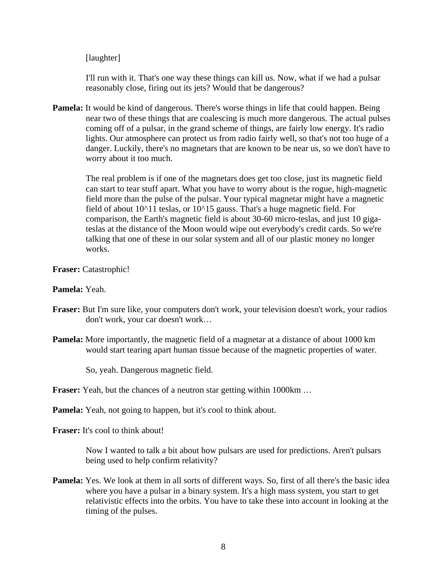## [laughter]

 I'll run with it. That's one way these things can kill us. Now, what if we had a pulsar reasonably close, firing out its jets? Would that be dangerous?

**Pamela:** It would be kind of dangerous. There's worse things in life that could happen. Being near two of these things that are coalescing is much more dangerous. The actual pulses coming off of a pulsar, in the grand scheme of things, are fairly low energy. It's radio lights. Our atmosphere can protect us from radio fairly well, so that's not too huge of a danger. Luckily, there's no magnetars that are known to be near us, so we don't have to worry about it too much.

 The real problem is if one of the magnetars does get too close, just its magnetic field can start to tear stuff apart. What you have to worry about is the rogue, high-magnetic field more than the pulse of the pulsar. Your typical magnetar might have a magnetic field of about  $10^{\text{A}}11$  teslas, or  $10^{\text{A}}15$  gauss. That's a huge magnetic field. For comparison, the Earth's magnetic field is about 30-60 micro-teslas, and just 10 gigateslas at the distance of the Moon would wipe out everybody's credit cards. So we're talking that one of these in our solar system and all of our plastic money no longer works.

### **Fraser:** Catastrophic!

### **Pamela:** Yeah.

- **Fraser:** But I'm sure like, your computers don't work, your television doesn't work, your radios don't work, your car doesn't work…
- **Pamela:** More importantly, the magnetic field of a magnetar at a distance of about 1000 km would start tearing apart human tissue because of the magnetic properties of water.

So, yeah. Dangerous magnetic field.

# **Fraser:** Yeah, but the chances of a neutron star getting within 1000km ...

**Pamela:** Yeah, not going to happen, but it's cool to think about.

**Fraser:** It's cool to think about!

 Now I wanted to talk a bit about how pulsars are used for predictions. Aren't pulsars being used to help confirm relativity?

**Pamela:** Yes. We look at them in all sorts of different ways. So, first of all there's the basic idea where you have a pulsar in a binary system. It's a high mass system, you start to get relativistic effects into the orbits. You have to take these into account in looking at the timing of the pulses.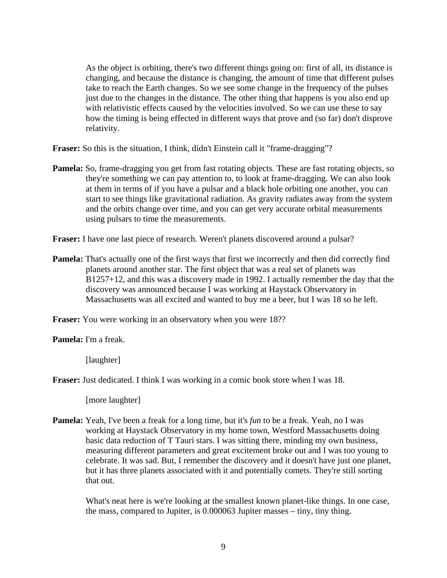As the object is orbiting, there's two different things going on: first of all, its distance is changing, and because the distance is changing, the amount of time that different pulses take to reach the Earth changes. So we see some change in the frequency of the pulses just due to the changes in the distance. The other thing that happens is you also end up with relativistic effects caused by the velocities involved. So we can use these to say how the timing is being effected in different ways that prove and (so far) don't disprove relativity.

**Fraser:** So this is the situation, I think, didn't Einstein call it "frame-dragging"?

**Pamela:** So, frame-dragging you get from fast rotating objects. These are fast rotating objects, so they're something we can pay attention to, to look at frame-dragging. We can also look at them in terms of if you have a pulsar and a black hole orbiting one another, you can start to see things like gravitational radiation. As gravity radiates away from the system and the orbits change over time, and you can get very accurate orbital measurements using pulsars to time the measurements.

**Fraser:** I have one last piece of research. Weren't planets discovered around a pulsar?

**Pamela:** That's actually one of the first ways that first we incorrectly and then did correctly find planets around another star. The first object that was a real set of planets was B1257+12, and this was a discovery made in 1992. I actually remember the day that the discovery was announced because I was working at Haystack Observatory in Massachusetts was all excited and wanted to buy me a beer, but I was 18 so he left.

**Fraser:** You were working in an observatory when you were 18??

**Pamela:** I'm a freak.

[laughter]

**Fraser:** Just dedicated. I think I was working in a comic book store when I was 18.

[more laughter]

**Pamela:** Yeah, I've been a freak for a long time, but it's *fun* to be a freak. Yeah, no I was working at Haystack Observatory in my home town, Westford Massachusetts doing basic data reduction of T Tauri stars. I was sitting there, minding my own business, measuring different parameters and great excitement broke out and I was too young to celebrate. It was sad. But, I remember the discovery and it doesn't have just one planet, but it has three planets associated with it and potentially comets. They're still sorting that out.

 What's neat here is we're looking at the smallest known planet-like things. In one case, the mass, compared to Jupiter, is 0.000063 Jupiter masses – tiny, tiny thing.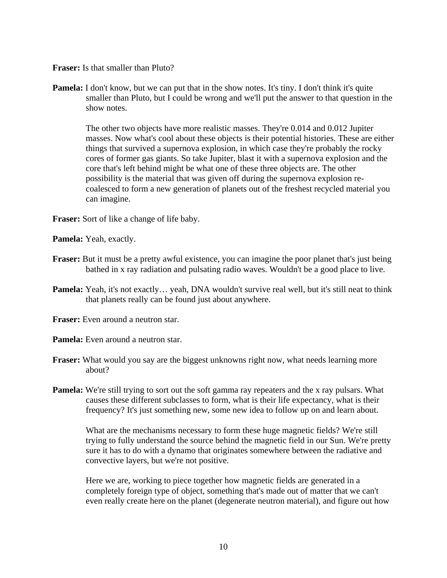**Fraser:** Is that smaller than Pluto?

**Pamela:** I don't know, but we can put that in the show notes. It's tiny. I don't think it's quite smaller than Pluto, but I could be wrong and we'll put the answer to that question in the show notes.

 The other two objects have more realistic masses. They're 0.014 and 0.012 Jupiter masses. Now what's cool about these objects is their potential histories. These are either things that survived a supernova explosion, in which case they're probably the rocky cores of former gas giants. So take Jupiter, blast it with a supernova explosion and the core that's left behind might be what one of these three objects are. The other possibility is the material that was given off during the supernova explosion recoalesced to form a new generation of planets out of the freshest recycled material you can imagine.

**Fraser:** Sort of like a change of life baby.

**Pamela:** Yeah, exactly.

- **Fraser:** But it must be a pretty awful existence, you can imagine the poor planet that's just being bathed in x ray radiation and pulsating radio waves. Wouldn't be a good place to live.
- **Pamela:** Yeah, it's not exactly... yeah, DNA wouldn't survive real well, but it's still neat to think that planets really can be found just about anywhere.
- **Fraser:** Even around a neutron star.

**Pamela:** Even around a neutron star.

- **Fraser:** What would you say are the biggest unknowns right now, what needs learning more about?
- **Pamela:** We're still trying to sort out the soft gamma ray repeaters and the x ray pulsars. What causes these different subclasses to form, what is their life expectancy, what is their frequency? It's just something new, some new idea to follow up on and learn about.

 What are the mechanisms necessary to form these huge magnetic fields? We're still trying to fully understand the source behind the magnetic field in our Sun. We're pretty sure it has to do with a dynamo that originates somewhere between the radiative and convective layers, but we're not positive.

 Here we are, working to piece together how magnetic fields are generated in a completely foreign type of object, something that's made out of matter that we can't even really create here on the planet (degenerate neutron material), and figure out how